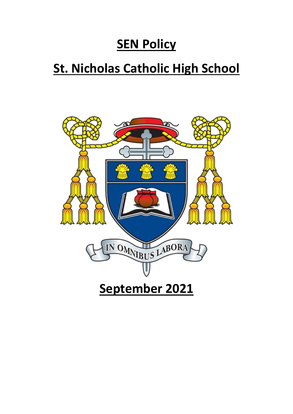# **SEN Policy**

# **St. Nicholas Catholic High School**

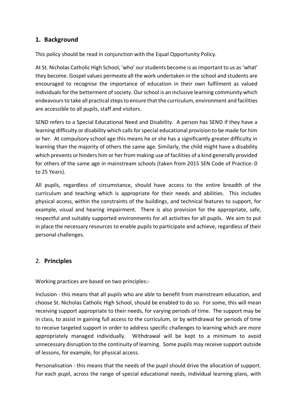# **1. Background**

This policy should be read in conjunction with the Equal Opportunity Policy.

At St. Nicholas Catholic High School, 'who' our students become is as important to us as 'what' they become. Gospel values permeate all the work undertaken in the school and students are encouraged to recognise the importance of education in their own fulfilment as valued individuals for the betterment of society. Our school is an inclusive learning community which endeavours to take all practical steps to ensure that the curriculum, environment and facilities are accessible to all pupils, staff and visitors.

SEND refers to a Special Educational Need and Disability. A person has SEND if they have a learning difficulty or disability which calls for special educational provision to be made for him or her. At compulsory school age this means he or she has a significantly greater difficulty in learning than the majority of others the same age. Similarly, the child might have a disability which prevents or hinders him or her from making use of facilities of a kind generally provided for others of the same age in mainstream schools (taken from 2015 SEN Code of Practice: 0 to 25 Years).

All pupils, regardless of circumstance, should have access to the entire breadth of the curriculum and teaching which is appropriate for their needs and abilities. This includes physical access, within the constraints of the buildings, and technical features to support, for example, visual and hearing impairment. There is also provision for the appropriate, safe, respectful and suitably supported environments for all activities for all pupils. We aim to put in place the necessary resources to enable pupils to participate and achieve, regardless of their personal challenges.

# 2. **Principles**

Working practices are based on two principles:-

Inclusion - this means that all pupils who are able to benefit from mainstream education, and choose St. Nicholas Catholic High School, should be enabled to do so. For some, this will mean receiving support appropriate to their needs, for varying periods of time. The support may be in class, to assist in gaining full access to the curriculum, or by withdrawal for periods of time to receive targeted support in order to address specific challenges to learning which are more appropriately managed individually. Withdrawal will be kept to a minimum to avoid unnecessary disruption to the continuity of learning. Some pupils may receive support outside of lessons, for example, for physical access.

Personalisation - this means that the needs of the pupil should drive the allocation of support. For each pupil, across the range of special educational needs, individual learning plans, with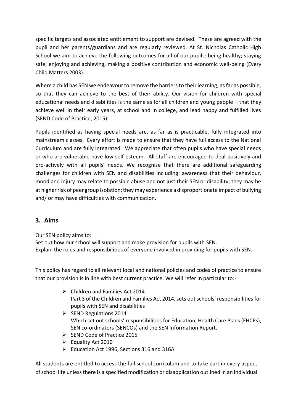specific targets and associated entitlement to support are devised. These are agreed with the pupil and her parents/guardians and are regularly reviewed. At St. Nicholas Catholic High School we aim to achieve the following outcomes for all of our pupils: being healthy; staying safe; enjoying and achieving, making a positive contribution and economic well-being (Every Child Matters 2003).

Where a child has SEN we endeavour to remove the barriers to their learning, as far as possible, so that they can achieve to the best of their ability. Our vision for children with special educational needs and disabilities is the same as for all children and young people – that they achieve well in their early years, at school and in college, and lead happy and fulfilled lives (SEND Code of Practice, 2015).

Pupils identified as having special needs are, as far as is practicable, fully integrated into mainstream classes. Every effort is made to ensure that they have full access to the National Curriculum and are fully integrated. We appreciate that often pupils who have special needs or who are vulnerable have low self-esteem. All staff are encouraged to deal positively and pro-actively with all pupils' needs. We recognise that there are additional safeguarding challenges for children with SEN and disabilities including: awareness that their behaviour, mood and injury may relate to possible abuse and not just their SEN or disability; they may be at higher risk of peer group isolation; they may experience a disproportionate impact of bullying and/ or may have difficulties with communication.

# **3. Aims**

Our SEN policy aims to: Set out how our school will support and make provision for pupils with SEN. Explain the roles and responsibilities of everyone involved in providing for pupils with SEN.

This policy has regard to all relevant local and national policies and codes of practice to ensure that our provision is in line with best current practice. We will refer in particular to:-

- ➢ Children and Families Act 2014 Part 3 of the Children and Families Act 2014, sets out schools' responsibilities for pupils with SEN and disabilities
- $\triangleright$  SEND Regulations 2014 Which set out schools' responsibilities for Education, Health Care Plans (EHCPs), SEN co-ordinators (SENCOs) and the SEN Information Report.
- ➢ SEND Code of Practice 2015
- ➢ Equality Act 2010
- ➢ Education Act 1996, Sections 316 and 316A

All students are entitled to access the full school curriculum and to take part in every aspect of school life unless there is a specified modification or disapplication outlined in an individual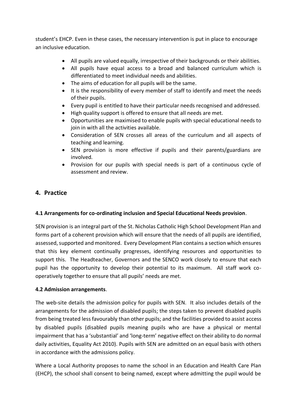student's EHCP. Even in these cases, the necessary intervention is put in place to encourage an inclusive education.

- All pupils are valued equally, irrespective of their backgrounds or their abilities.
- All pupils have equal access to a broad and balanced curriculum which is differentiated to meet individual needs and abilities.
- The aims of education for all pupils will be the same.
- It is the responsibility of every member of staff to identify and meet the needs of their pupils.
- Every pupil is entitled to have their particular needs recognised and addressed.
- High quality support is offered to ensure that all needs are met.
- Opportunities are maximised to enable pupils with special educational needs to join in with all the activities available.
- Consideration of SEN crosses all areas of the curriculum and all aspects of teaching and learning.
- SEN provision is more effective if pupils and their parents/guardians are involved.
- Provision for our pupils with special needs is part of a continuous cycle of assessment and review.

# **4. Practice**

# **4.1 Arrangements for co-ordinating inclusion and Special Educational Needs provision**.

SEN provision is an integral part of the St. Nicholas Catholic High School Development Plan and forms part of a coherent provision which will ensure that the needs of all pupils are identified, assessed, supported and monitored. Every Development Plan contains a section which ensures that this key element continually progresses, identifying resources and opportunities to support this. The Headteacher, Governors and the SENCO work closely to ensure that each pupil has the opportunity to develop their potential to its maximum. All staff work cooperatively together to ensure that all pupils' needs are met.

## **4.2 Admission arrangements**.

The web-site details the admission policy for pupils with SEN. It also includes details of the arrangements for the admission of disabled pupils; the steps taken to prevent disabled pupils from being treated less favourably than other pupils; and the facilities provided to assist access by disabled pupils (disabled pupils meaning pupils who are have a physical or mental impairment that has a 'substantial' and 'long-term' negative effect on their ability to do normal daily activities, Equality Act 2010). Pupils with SEN are admitted on an equal basis with others in accordance with the admissions policy.

Where a Local Authority proposes to name the school in an Education and Health Care Plan (EHCP), the school shall consent to being named, except where admitting the pupil would be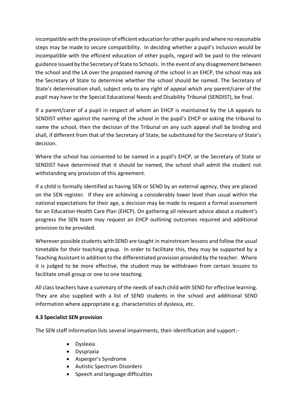incompatible with the provision of efficient education for other pupils and where no reasonable steps may be made to secure compatibility. In deciding whether a pupil's inclusion would be incompatible with the efficient education of other pupils, regard will be paid to the relevant guidance issued by the Secretary of State to Schools. In the event of any disagreement between the school and the LA over the proposed naming of the school in an EHCP, the school may ask the Secretary of State to determine whether the school should be named. The Secretary of State's determination shall, subject only to any right of appeal which any parent/carer of the pupil may have to the Special Educational Needs and Disability Tribunal (SENDIST), be final.

If a parent/carer of a pupil in respect of whom an EHCP is maintained by the LA appeals to SENDIST either against the naming of the school in the pupil's EHCP or asking the tribunal to name the school, then the decision of the Tribunal on any such appeal shall be binding and shall, if different from that of the Secretary of State, be substituted for the Secretary of State's decision.

Where the school has consented to be named in a pupil's EHCP, or the Secretary of State or SENDIST have determined that it should be named, the school shall admit the student not withstanding any provision of this agreement.

If a child is formally identified as having SEN or SEND by an external agency, they are placed on the SEN register. If they are achieving a considerably lower level than usual within the national expectations for their age, a decision may be made to request a formal assessment for an Education Health Care Plan (EHCP). On gathering all relevant advice about a student's progress the SEN team may request an EHCP outlining outcomes required and additional provision to be provided.

Wherever possible students with SEND are taught in mainstream lessons and follow the usual timetable for their teaching group. In order to facilitate this, they may be supported by a Teaching Assistant in addition to the differentiated provision provided by the teacher. Where it is judged to be more effective, the student may be withdrawn from certain lessons to facilitate small group or one to one teaching.

All class teachers have a summary of the needs of each child with SEND for effective learning. They are also supplied with a list of SEND students in the school and additional SEND information where appropriate e.g. characteristics of dyslexia, etc.

## **4.3 Specialist SEN provision**

The SEN staff information lists several impairments, their identification and support:-

- Dyslexia
- Dyspraxia
- Asperger's Syndrome
- Autistic Spectrum Disorders
- Speech and language difficulties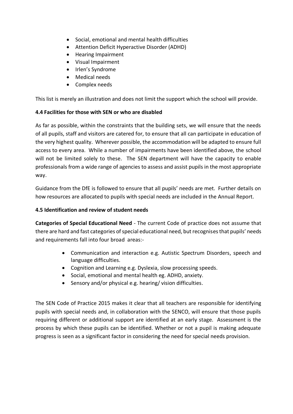- Social, emotional and mental health difficulties
- Attention Deficit Hyperactive Disorder (ADHD)
- Hearing Impairment
- Visual Impairment
- Irlen's Syndrome
- Medical needs
- Complex needs

This list is merely an illustration and does not limit the support which the school will provide.

## **4.4 Facilities for those with SEN or who are disabled**

As far as possible, within the constraints that the building sets, we will ensure that the needs of all pupils, staff and visitors are catered for, to ensure that all can participate in education of the very highest quality. Wherever possible, the accommodation will be adapted to ensure full access to every area. While a number of impairments have been identified above, the school will not be limited solely to these. The SEN department will have the capacity to enable professionals from a wide range of agencies to assess and assist pupils in the most appropriate way.

Guidance from the DfE is followed to ensure that all pupils' needs are met. Further details on how resources are allocated to pupils with special needs are included in the Annual Report.

### **4.5 Identification and review of student needs**

**Categories of Special Educational Need** - The current Code of practice does not assume that there are hard and fast categories of special educational need, but recognises that pupils' needs and requirements fall into four broad areas:-

- Communication and interaction e.g. Autistic Spectrum Disorders, speech and language difficulties.
- Cognition and Learning e.g. Dyslexia, slow processing speeds.
- Social, emotional and mental health eg. ADHD, anxiety.
- Sensory and/or physical e.g. hearing/ vision difficulties.

The SEN Code of Practice 2015 makes it clear that all teachers are responsible for identifying pupils with special needs and, in collaboration with the SENCO, will ensure that those pupils requiring different or additional support are identified at an early stage. Assessment is the process by which these pupils can be identified. Whether or not a pupil is making adequate progress is seen as a significant factor in considering the need for special needs provision.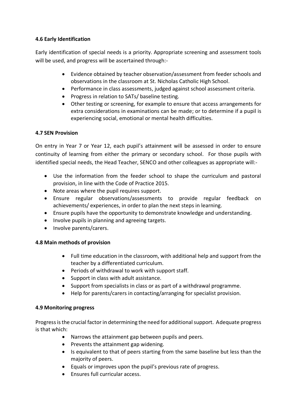# **4.6 Early Identification**

Early identification of special needs is a priority. Appropriate screening and assessment tools will be used, and progress will be ascertained through:-

- Evidence obtained by teacher observation/assessment from feeder schools and observations in the classroom at St. Nicholas Catholic High School.
- Performance in class assessments, judged against school assessment criteria.
- Progress in relation to SATs/ baseline testing.
- Other testing or screening, for example to ensure that access arrangements for extra considerations in examinations can be made; or to determine if a pupil is experiencing social, emotional or mental health difficulties.

# **4.7 SEN Provision**

On entry in Year 7 or Year 12, each pupil's attainment will be assessed in order to ensure continuity of learning from either the primary or secondary school. For those pupils with identified special needs, the Head Teacher, SENCO and other colleagues as appropriate will:-

- Use the information from the feeder school to shape the curriculum and pastoral provision, in line with the Code of Practice 2015.
- Note areas where the pupil requires support.
- Ensure regular observations/assessments to provide regular feedback on achievements/ experiences, in order to plan the next steps in learning.
- Ensure pupils have the opportunity to demonstrate knowledge and understanding.
- Involve pupils in planning and agreeing targets.
- Involve parents/carers.

# **4.8 Main methods of provision**

- Full time education in the classroom, with additional help and support from the teacher by a differentiated curriculum.
- Periods of withdrawal to work with support staff.
- Support in class with adult assistance.
- Support from specialists in class or as part of a withdrawal programme.
- Help for parents/carers in contacting/arranging for specialist provision.

# **4.9 Monitoring progress**

Progress is the crucial factor in determining the need for additional support. Adequate progress is that which:

- Narrows the attainment gap between pupils and peers.
- Prevents the attainment gap widening.
- Is equivalent to that of peers starting from the same baseline but less than the majority of peers.
- Equals or improves upon the pupil's previous rate of progress.
- Ensures full curricular access.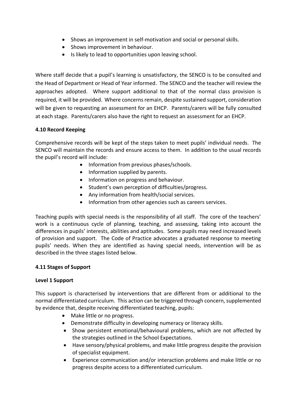- Shows an improvement in self-motivation and social or personal skills.
- Shows improvement in behaviour.
- Is likely to lead to opportunities upon leaving school.

Where staff decide that a pupil's learning is unsatisfactory, the SENCO is to be consulted and the Head of Department or Head of Year informed. The SENCO and the teacher will review the approaches adopted. Where support additional to that of the normal class provision is required, it will be provided. Where concerns remain, despite sustained support, consideration will be given to requesting an assessment for an EHCP. Parents/carers will be fully consulted at each stage. Parents/carers also have the right to request an assessment for an EHCP.

## **4.10 Record Keeping**

Comprehensive records will be kept of the steps taken to meet pupils' individual needs. The SENCO will maintain the records and ensure access to them. In addition to the usual records the pupil's record will include:

- Information from previous phases/schools.
- Information supplied by parents.
- Information on progress and behaviour.
- Student's own perception of difficulties/progress.
- Any information from health/social services.
- Information from other agencies such as careers services.

Teaching pupils with special needs is the responsibility of all staff. The core of the teachers' work is a continuous cycle of planning, teaching, and assessing, taking into account the differences in pupils' interests, abilities and aptitudes. Some pupils may need increased levels of provision and support. The Code of Practice advocates a graduated response to meeting pupils' needs. When they are identified as having special needs, intervention will be as described in the three stages listed below.

#### **4.11 Stages of Support**

#### **Level 1 Support**

This support is characterised by interventions that are different from or additional to the normal differentiated curriculum. This action can be triggered through concern, supplemented by evidence that, despite receiving differentiated teaching, pupils:

- Make little or no progress.
- Demonstrate difficulty in developing numeracy or literacy skills.
- Show persistent emotional/behavioural problems, which are not affected by the strategies outlined in the School Expectations.
- Have sensory/physical problems, and make little progress despite the provision of specialist equipment.
- Experience communication and/or interaction problems and make little or no progress despite access to a differentiated curriculum.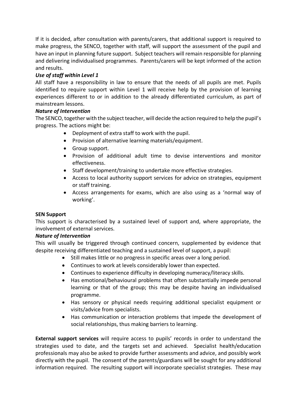If it is decided, after consultation with parents/carers, that additional support is required to make progress, the SENCO, together with staff, will support the assessment of the pupil and have an input in planning future support. Subject teachers will remain responsible for planning and delivering individualised programmes. Parents/carers will be kept informed of the action and results.

# *Use of staff within Level 1*

All staff have a responsibility in law to ensure that the needs of all pupils are met. Pupils identified to require support within Level 1 will receive help by the provision of learning experiences different to or in addition to the already differentiated curriculum, as part of mainstream lessons.

## *Nature of Intervention*

The SENCO, together with the subject teacher, will decide the action required to help the pupil's progress. The actions might be:

- Deployment of extra staff to work with the pupil.
- Provision of alternative learning materials/equipment.
- Group support.
- Provision of additional adult time to devise interventions and monitor effectiveness.
- Staff development/training to undertake more effective strategies.
- Access to local authority support services for advice on strategies, equipment or staff training.
- Access arrangements for exams, which are also using as a 'normal way of working'.

## **SEN Support**

This support is characterised by a sustained level of support and, where appropriate, the involvement of external services.

#### *Nature of Intervention*

This will usually be triggered through continued concern, supplemented by evidence that despite receiving differentiated teaching and a sustained level of support, a pupil:

- Still makes little or no progress in specific areas over a long period.
- Continues to work at levels considerably lower than expected.
- Continues to experience difficulty in developing numeracy/literacy skills.
- Has emotional/behavioural problems that often substantially impede personal learning or that of the group; this may be despite having an individualised programme.
- Has sensory or physical needs requiring additional specialist equipment or visits/advice from specialists.
- Has communication or interaction problems that impede the development of social relationships, thus making barriers to learning.

**External support services** will require access to pupils' records in order to understand the strategies used to date, and the targets set and achieved. Specialist health/education professionals may also be asked to provide further assessments and advice, and possibly work directly with the pupil. The consent of the parents/guardians will be sought for any additional information required. The resulting support will incorporate specialist strategies. These may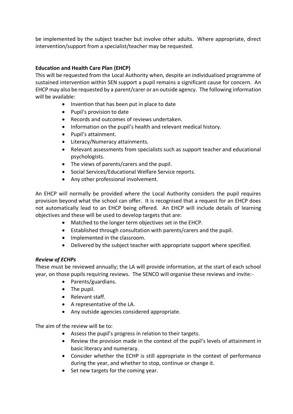be implemented by the subject teacher but involve other adults. Where appropriate, direct intervention/support from a specialist/teacher may be requested.

## **Education and Health Care Plan (EHCP)**

This will be requested from the Local Authority when, despite an individualised programme of sustained intervention within SEN support a pupil remains a significant cause for concern. An EHCP may also be requested by a parent/carer or an outside agency. The following information will be available:

- Invention that has been put in place to date
- Pupil's provision to date
- Records and outcomes of reviews undertaken.
- Information on the pupil's health and relevant medical history.
- Pupil's attainment.
- Literacy/Numeracy attainments.
- Relevant assessments from specialists such as support teacher and educational psychologists.
- The views of parents/carers and the pupil.
- Social Services/Educational Welfare Service reports.
- Any other professional involvement.

An EHCP will normally be provided where the Local Authority considers the pupil requires provision beyond what the school can offer. It is recognised that a request for an EHCP does not automatically lead to an EHCP being offered. An EHCP will include details of learning objectives and these will be used to develop targets that are:

- Matched to the longer term objectives set in the EHCP.
- Established through consultation with parents/carers and the pupil.
- Implemented in the classroom.
- Delivered by the subject teacher with appropriate support where specified.

## *Review of ECHPs*

These must be reviewed annually; the LA will provide information, at the start of each school year, on those pupils requiring reviews. The SENCO will organise these reviews and invite:-

- Parents/guardians.
- The pupil.
- Relevant staff.
- A representative of the LA.
- Any outside agencies considered appropriate.

The aim of the review will be to:

- Assess the pupil's progress in relation to their targets.
- Review the provision made in the context of the pupil's levels of attainment in basic literacy and numeracy.
- Consider whether the ECHP is still appropriate in the context of performance during the year, and whether to stop, continue or change it.
- Set new targets for the coming year.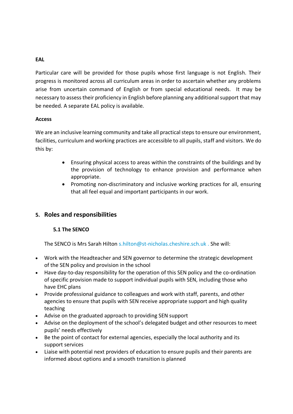### **EAL**

Particular care will be provided for those pupils whose first language is not English. Their progress is monitored across all curriculum areas in order to ascertain whether any problems arise from uncertain command of English or from special educational needs. It may be necessary to assess their proficiency in English before planning any additional support that may be needed. A separate EAL policy is available.

#### **Access**

We are an inclusive learning community and take all practical steps to ensure our environment, facilities, curriculum and working practices are accessible to all pupils, staff and visitors. We do this by:

- Ensuring physical access to areas within the constraints of the buildings and by the provision of technology to enhance provision and performance when appropriate.
- Promoting non-discriminatory and inclusive working practices for all, ensuring that all feel equal and important participants in our work.

# **5. Roles and responsibilities**

## **5.1 The SENCO**

The SENCO is Mrs Sarah Hilton s.hilton@st-nicholas.cheshire.sch.uk . She will:

- Work with the Headteacher and SEN governor to determine the strategic development of the SEN policy and provision in the school
- Have day-to-day responsibility for the operation of this SEN policy and the co-ordination of specific provision made to support individual pupils with SEN, including those who have EHC plans
- Provide professional guidance to colleagues and work with staff, parents, and other agencies to ensure that pupils with SEN receive appropriate support and high quality teaching
- Advise on the graduated approach to providing SEN support
- Advise on the deployment of the school's delegated budget and other resources to meet pupils' needs effectively
- Be the point of contact for external agencies, especially the local authority and its support services
- Liaise with potential next providers of education to ensure pupils and their parents are informed about options and a smooth transition is planned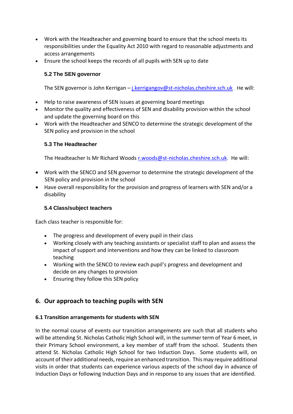- Work with the Headteacher and governing board to ensure that the school meets its responsibilities under the Equality Act 2010 with regard to reasonable adjustments and access arrangements
- Ensure the school keeps the records of all pupils with SEN up to date

# **5.2 The SEN governor**

The SEN governor is John Kerrigan – [j.kerrigangov@st-nicholas.cheshire.sch.uk](mailto:j.kerrigangov@st-nicholas.cheshire.sch.uk) . He will:

- Help to raise awareness of SEN issues at governing board meetings
- Monitor the quality and effectiveness of SEN and disability provision within the school and update the governing board on this
- Work with the Headteacher and SENCO to determine the strategic development of the SEN policy and provision in the school

## **5.3 The Headteacher**

The Headteacher Is Mr Richard Woods [r.woods@st-nicholas.cheshire.sch.uk.](mailto:r.woods@st-nicholas.cheshire.sch.uk) He will:

- Work with the SENCO and SEN governor to determine the strategic development of the SEN policy and provision in the school
- Have overall responsibility for the provision and progress of learners with SEN and/or a disability

# **5.4 Class/subject teachers**

Each class teacher is responsible for:

- The progress and development of every pupil in their class
- Working closely with any teaching assistants or specialist staff to plan and assess the impact of support and interventions and how they can be linked to classroom teaching
- Working with the SENCO to review each pupil's progress and development and decide on any changes to provision
- Ensuring they follow this SEN policy

# **6. Our approach to teaching pupils with SEN**

## **6.1 Transition arrangements for students with SEN**

In the normal course of events our transition arrangements are such that all students who will be attending St. Nicholas Catholic High School will, in the summer term of Year 6 meet, in their Primary School environment, a key member of staff from the school. Students then attend St. Nicholas Catholic High School for two Induction Days. Some students will, on account of their additional needs, require an enhanced transition. This may require additional visits in order that students can experience various aspects of the school day in advance of Induction Days or following Induction Days and in response to any issues that are identified.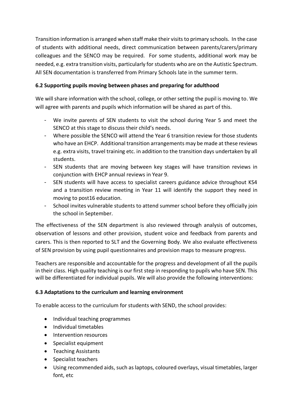Transition information is arranged when staff make their visits to primary schools. In the case of students with additional needs, direct communication between parents/carers/primary colleagues and the SENCO may be required. For some students, additional work may be needed, e.g. extra transition visits, particularly for students who are on the Autistic Spectrum. All SEN documentation is transferred from Primary Schools late in the summer term.

# **6.2 Supporting pupils moving between phases and preparing for adulthood**

We will share information with the school, college, or other setting the pupil is moving to. We will agree with parents and pupils which information will be shared as part of this.

- We invite parents of SEN students to visit the school during Year 5 and meet the SENCO at this stage to discuss their child's needs.
- Where possible the SENCO will attend the Year 6 transition review for those students who have an EHCP. Additional transition arrangements may be made at these reviews e.g. extra visits, travel training etc. in addition to the transition days undertaken by all students.
- SEN students that are moving between key stages will have transition reviews in conjunction with EHCP annual reviews in Year 9.
- SEN students will have access to specialist careers guidance advice throughout KS4 and a transition review meeting in Year 11 will identify the support they need in moving to post16 education.
- School invites vulnerable students to attend summer school before they officially join the school in September.

The effectiveness of the SEN department is also reviewed through analysis of outcomes, observation of lessons and other provision, student voice and feedback from parents and carers. This is then reported to SLT and the Governing Body. We also evaluate effectiveness of SEN provision by using pupil questionnaires and provision maps to measure progress.

Teachers are responsible and accountable for the progress and development of all the pupils in their class. High quality teaching is our first step in responding to pupils who have SEN. This will be differentiated for individual pupils. We will also provide the following interventions:

# **6.3 Adaptations to the curriculum and learning environment**

To enable access to the curriculum for students with SEND, the school provides:

- Individual teaching programmes
- Individual timetables
- Intervention resources
- Specialist equipment
- Teaching Assistants
- Specialist teachers
- Using recommended aids, such as laptops, coloured overlays, visual timetables, larger font, etc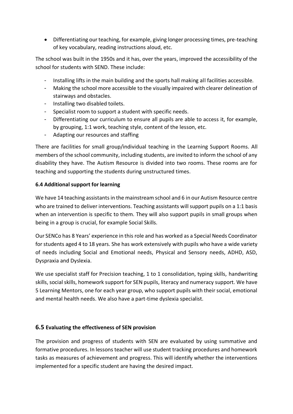• Differentiating our teaching, for example, giving longer processing times, pre-teaching of key vocabulary, reading instructions aloud, etc.

The school was built in the 1950s and it has, over the years, improved the accessibility of the school for students with SEND. These include:

- Installing lifts in the main building and the sports hall making all facilities accessible.
- Making the school more accessible to the visually impaired with clearer delineation of stairways and obstacles.
- Installing two disabled toilets.
- Specialist room to support a student with specific needs.
- Differentiating our curriculum to ensure all pupils are able to access it, for example, by grouping, 1:1 work, teaching style, content of the lesson, etc.
- Adapting our resources and staffing

There are facilities for small group/individual teaching in the Learning Support Rooms. All members of the school community, including students, are invited to inform the school of any disability they have. The Autism Resource is divided into two rooms. These rooms are for teaching and supporting the students during unstructured times.

## **6.4 Additional support for learning**

We have 14 teaching assistants in the mainstream school and 6 in our Autism Resource centre who are trained to deliver interventions. Teaching assistants will support pupils on a 1:1 basis when an intervention is specific to them. They will also support pupils in small groups when being in a group is crucial, for example Social Skills.

Our SENCo has 8 Years' experience in this role and has worked as a Special Needs Coordinator for students aged 4 to 18 years. She has work extensively with pupils who have a wide variety of needs including Social and Emotional needs, Physical and Sensory needs, ADHD, ASD, Dyspraxia and Dyslexia.

We use specialist staff for Precision teaching, 1 to 1 consolidation, typing skills, handwriting skills, social skills, homework support for SEN pupils, literacy and numeracy support. We have 5 Learning Mentors, one for each year group, who support pupils with their social, emotional and mental health needs. We also have a part-time dyslexia specialist.

## **6.5 Evaluating the effectiveness of SEN provision**

The provision and progress of students with SEN are evaluated by using summative and formative procedures. In lessons teacher will use student tracking procedures and homework tasks as measures of achievement and progress. This will identify whether the interventions implemented for a specific student are having the desired impact.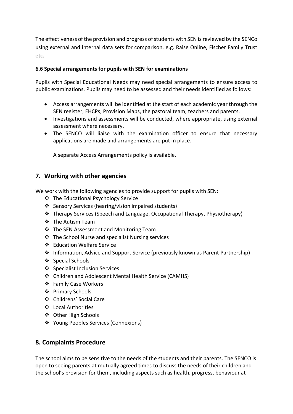The effectiveness of the provision and progress of students with SEN is reviewed by the SENCo using external and internal data sets for comparison, e.g. Raise Online, Fischer Family Trust etc.

## **6.6 Special arrangements for pupils with SEN for examinations**

Pupils with Special Educational Needs may need special arrangements to ensure access to public examinations. Pupils may need to be assessed and their needs identified as follows:

- Access arrangements will be identified at the start of each academic year through the SEN register, EHCPs, Provision Maps, the pastoral team, teachers and parents.
- Investigations and assessments will be conducted, where appropriate, using external assessment where necessary.
- The SENCO will liaise with the examination officer to ensure that necessary applications are made and arrangements are put in place.

A separate Access Arrangements policy is available.

# **7. Working with other agencies**

We work with the following agencies to provide support for pupils with SEN:

- ❖ The Educational Psychology Service
- ❖ Sensory Services (hearing/vision impaired students)
- ❖ Therapy Services (Speech and Language, Occupational Therapy, Physiotherapy)
- ❖ The Autism Team
- ❖ The SEN Assessment and Monitoring Team
- ❖ The School Nurse and specialist Nursing services
- ❖ Education Welfare Service
- ❖ Information, Advice and Support Service (previously known as Parent Partnership)
- ❖ Special Schools
- ❖ Specialist Inclusion Services
- ❖ Children and Adolescent Mental Health Service (CAMHS)
- ❖ Family Case Workers
- ❖ Primary Schools
- ❖ Childrens' Social Care
- ❖ Local Authorities
- ❖ Other High Schools
- ❖ Young Peoples Services (Connexions)

# **8. Complaints Procedure**

The school aims to be sensitive to the needs of the students and their parents. The SENCO is open to seeing parents at mutually agreed times to discuss the needs of their children and the school's provision for them, including aspects such as health, progress, behaviour at